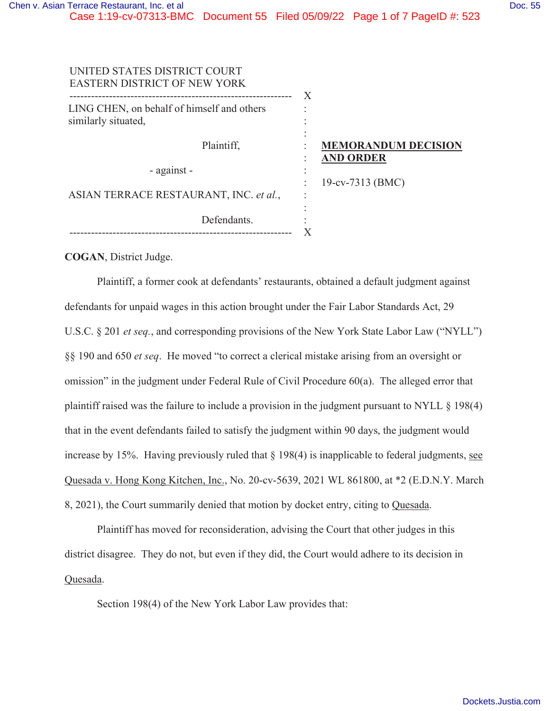Case 1:19-cv-07313-BMC Document 55 Filed 05/09/22 Page 1 of 7 PageID #: 523

| UNITED STATES DISTRICT COURT<br><b>EASTERN DISTRICT OF NEW YORK</b> | X                                              |
|---------------------------------------------------------------------|------------------------------------------------|
| LING CHEN, on behalf of himself and others<br>similarly situated,   |                                                |
| Plaintiff,                                                          | <b>MEMORANDUM DECISION</b><br><b>AND ORDER</b> |
| - against -                                                         |                                                |
| ASIAN TERRACE RESTAURANT, INC. et al.,                              | 19-cv-7313 (BMC)                               |
| Defendants.                                                         |                                                |

**COGAN**, District Judge.

Plaintiff, a former cook at defendants' restaurants, obtained a default judgment against defendants for unpaid wages in this action brought under the Fair Labor Standards Act, 29 U.S.C. § 201 *et seq.*, and corresponding provisions of the New York State Labor Law ("NYLL") §§ 190 and 650 *et seq*. He moved "to correct a clerical mistake arising from an oversight or omission" in the judgment under Federal Rule of Civil Procedure 60(a). The alleged error that plaintiff raised was the failure to include a provision in the judgment pursuant to NYLL § 198(4) that in the event defendants failed to satisfy the judgment within 90 days, the judgment would increase by 15%. Having previously ruled that § 198(4) is inapplicable to federal judgments, see Quesada v. Hong Kong Kitchen, Inc., No. 20-cv-5639, 2021 WL 861800, at \*2 (E.D.N.Y. March 8, 2021), the Court summarily denied that motion by docket entry, citing to Quesada.

Plaintiff has moved for reconsideration, advising the Court that other judges in this district disagree. They do not, but even if they did, the Court would adhere to its decision in Quesada.

Section 198(4) of the New York Labor Law provides that: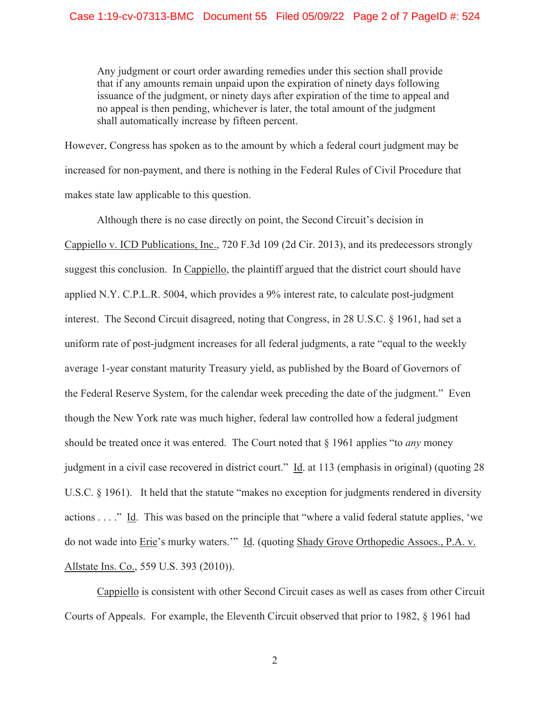Any judgment or court order awarding remedies under this section shall provide that if any amounts remain unpaid upon the expiration of ninety days following issuance of the judgment, or ninety days after expiration of the time to appeal and no appeal is then pending, whichever is later, the total amount of the judgment shall automatically increase by fifteen percent.

However, Congress has spoken as to the amount by which a federal court judgment may be increased for non-payment, and there is nothing in the Federal Rules of Civil Procedure that makes state law applicable to this question.

 Although there is no case directly on point, the Second Circuit's decision in Cappiello v. ICD Publications, Inc., 720 F.3d 109 (2d Cir. 2013), and its predecessors strongly suggest this conclusion. In Cappiello, the plaintiff argued that the district court should have applied N.Y. C.P.L.R. 5004, which provides a 9% interest rate, to calculate post-judgment interest. The Second Circuit disagreed, noting that Congress, in 28 U.S.C. § 1961, had set a uniform rate of post-judgment increases for all federal judgments, a rate "equal to the weekly average 1-year constant maturity Treasury yield, as published by the Board of Governors of the Federal Reserve System, for the calendar week preceding the date of the judgment." Even though the New York rate was much higher, federal law controlled how a federal judgment should be treated once it was entered. The Court noted that § 1961 applies "to *any* money judgment in a civil case recovered in district court." Id. at 113 (emphasis in original) (quoting 28 U.S.C. § 1961). It held that the statute "makes no exception for judgments rendered in diversity actions . . . ." Id. This was based on the principle that "where a valid federal statute applies, 'we do not wade into Erie's murky waters."" Id. (quoting Shady Grove Orthopedic Assocs., P.A. v. Allstate Ins. Co., 559 U.S. 393 (2010)).

Cappiello is consistent with other Second Circuit cases as well as cases from other Circuit Courts of Appeals. For example, the Eleventh Circuit observed that prior to 1982, § 1961 had

2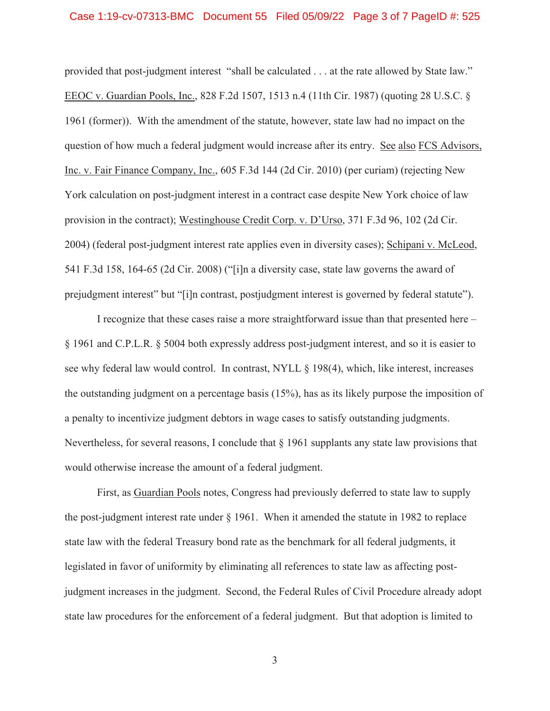## Case 1:19-cv-07313-BMC Document 55 Filed 05/09/22 Page 3 of 7 PageID #: 525

provided that post-judgment interest "shall be calculated . . . at the rate allowed by State law." EEOC v. Guardian Pools, Inc., 828 F.2d 1507, 1513 n.4 (11th Cir. 1987) (quoting 28 U.S.C. § 1961 (former)). With the amendment of the statute, however, state law had no impact on the question of how much a federal judgment would increase after its entry. See also FCS Advisors, Inc. v. Fair Finance Company, Inc., 605 F.3d 144 (2d Cir. 2010) (per curiam) (rejecting New York calculation on post-judgment interest in a contract case despite New York choice of law provision in the contract); Westinghouse Credit Corp. v. D'Urso, 371 F.3d 96, 102 (2d Cir. 2004) (federal post-judgment interest rate applies even in diversity cases); Schipani v. McLeod, 541 F.3d 158, 164-65 (2d Cir. 2008) ("[i]n a diversity case, state law governs the award of prejudgment interest" but "[i]n contrast, postjudgment interest is governed by federal statute").

I recognize that these cases raise a more straightforward issue than that presented here – § 1961 and C.P.L.R. § 5004 both expressly address post-judgment interest, and so it is easier to see why federal law would control. In contrast, NYLL § 198(4), which, like interest, increases the outstanding judgment on a percentage basis (15%), has as its likely purpose the imposition of a penalty to incentivize judgment debtors in wage cases to satisfy outstanding judgments. Nevertheless, for several reasons, I conclude that  $\S$  1961 supplants any state law provisions that would otherwise increase the amount of a federal judgment.

First, as Guardian Pools notes, Congress had previously deferred to state law to supply the post-judgment interest rate under § 1961. When it amended the statute in 1982 to replace state law with the federal Treasury bond rate as the benchmark for all federal judgments, it legislated in favor of uniformity by eliminating all references to state law as affecting postjudgment increases in the judgment. Second, the Federal Rules of Civil Procedure already adopt state law procedures for the enforcement of a federal judgment. But that adoption is limited to

3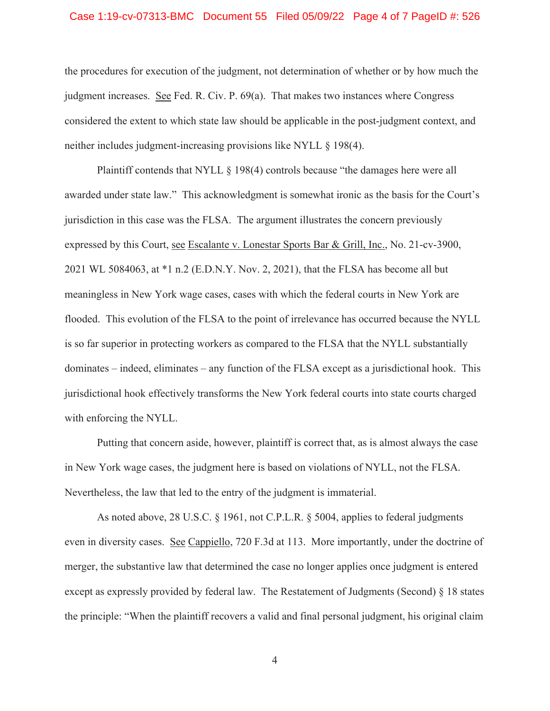## Case 1:19-cv-07313-BMC Document 55 Filed 05/09/22 Page 4 of 7 PageID #: 526

the procedures for execution of the judgment, not determination of whether or by how much the judgment increases. See Fed. R. Civ. P. 69(a). That makes two instances where Congress considered the extent to which state law should be applicable in the post-judgment context, and neither includes judgment-increasing provisions like NYLL § 198(4).

Plaintiff contends that NYLL § 198(4) controls because "the damages here were all awarded under state law." This acknowledgment is somewhat ironic as the basis for the Court's jurisdiction in this case was the FLSA. The argument illustrates the concern previously expressed by this Court, see Escalante v. Lonestar Sports Bar & Grill, Inc., No. 21-cv-3900, 2021 WL 5084063, at \*1 n.2 (E.D.N.Y. Nov. 2, 2021), that the FLSA has become all but meaningless in New York wage cases, cases with which the federal courts in New York are flooded. This evolution of the FLSA to the point of irrelevance has occurred because the NYLL is so far superior in protecting workers as compared to the FLSA that the NYLL substantially dominates – indeed, eliminates – any function of the FLSA except as a jurisdictional hook. This jurisdictional hook effectively transforms the New York federal courts into state courts charged with enforcing the NYLL.

Putting that concern aside, however, plaintiff is correct that, as is almost always the case in New York wage cases, the judgment here is based on violations of NYLL, not the FLSA. Nevertheless, the law that led to the entry of the judgment is immaterial.

As noted above, 28 U.S.C. § 1961, not C.P.L.R. § 5004, applies to federal judgments even in diversity cases. See Cappiello, 720 F.3d at 113. More importantly, under the doctrine of merger, the substantive law that determined the case no longer applies once judgment is entered except as expressly provided by federal law. The Restatement of Judgments (Second) § 18 states the principle: "When the plaintiff recovers a valid and final personal judgment, his original claim

4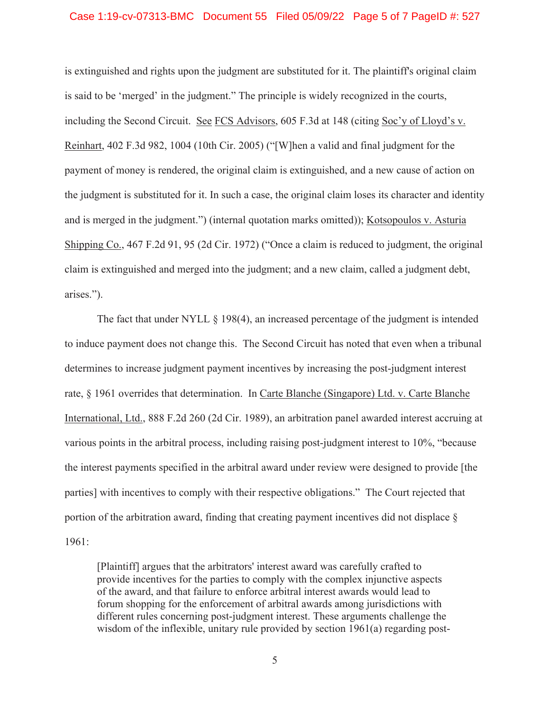## Case 1:19-cv-07313-BMC Document 55 Filed 05/09/22 Page 5 of 7 PageID #: 527

is extinguished and rights upon the judgment are substituted for it. The plaintiff's original claim is said to be 'merged' in the judgment." The principle is widely recognized in the courts, including the Second Circuit. See FCS Advisors, 605 F.3d at 148 (citing Soc'y of Lloyd's v. Reinhart, 402 F.3d 982, 1004 (10th Cir. 2005) ("[W]hen a valid and final judgment for the payment of money is rendered, the original claim is extinguished, and a new cause of action on the judgment is substituted for it. In such a case, the original claim loses its character and identity and is merged in the judgment.") (internal quotation marks omitted)); Kotsopoulos v. Asturia Shipping Co., 467 F.2d 91, 95 (2d Cir. 1972) ("Once a claim is reduced to judgment, the original claim is extinguished and merged into the judgment; and a new claim, called a judgment debt, arises.").

The fact that under NYLL § 198(4), an increased percentage of the judgment is intended to induce payment does not change this. The Second Circuit has noted that even when a tribunal determines to increase judgment payment incentives by increasing the post-judgment interest rate, § 1961 overrides that determination. In Carte Blanche (Singapore) Ltd. v. Carte Blanche International, Ltd., 888 F.2d 260 (2d Cir. 1989), an arbitration panel awarded interest accruing at various points in the arbitral process, including raising post-judgment interest to 10%, "because the interest payments specified in the arbitral award under review were designed to provide [the parties] with incentives to comply with their respective obligations." The Court rejected that portion of the arbitration award, finding that creating payment incentives did not displace § 1961:

[Plaintiff] argues that the arbitrators' interest award was carefully crafted to provide incentives for the parties to comply with the complex injunctive aspects of the award, and that failure to enforce arbitral interest awards would lead to forum shopping for the enforcement of arbitral awards among jurisdictions with different rules concerning post-judgment interest. These arguments challenge the wisdom of the inflexible, unitary rule provided by section 1961(a) regarding post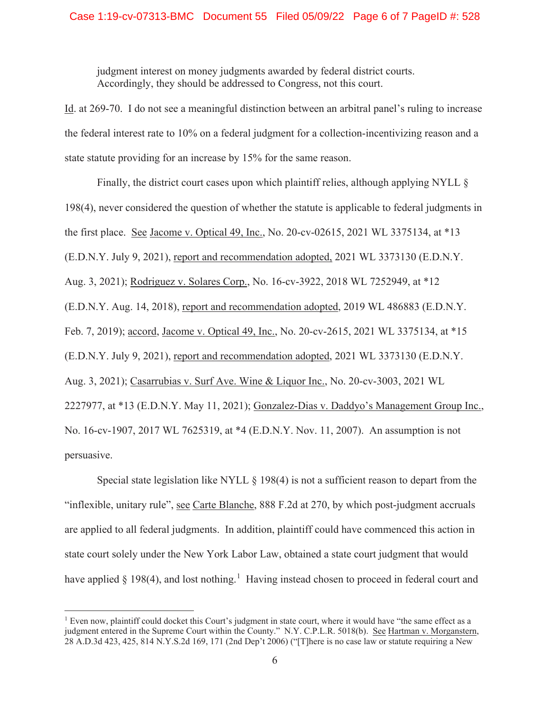judgment interest on money judgments awarded by federal district courts. Accordingly, they should be addressed to Congress, not this court.

Id. at 269-70. I do not see a meaningful distinction between an arbitral panel's ruling to increase the federal interest rate to 10% on a federal judgment for a collection-incentivizing reason and a state statute providing for an increase by 15% for the same reason.

Finally, the district court cases upon which plaintiff relies, although applying NYLL  $\S$ 198(4), never considered the question of whether the statute is applicable to federal judgments in the first place. See Jacome v. Optical 49, Inc., No. 20-cv-02615, 2021 WL 3375134, at \*13 (E.D.N.Y. July 9, 2021), report and recommendation adopted, 2021 WL 3373130 (E.D.N.Y. Aug. 3, 2021); Rodriguez v. Solares Corp., No. 16-cv-3922, 2018 WL 7252949, at \*12 (E.D.N.Y. Aug. 14, 2018), report and recommendation adopted, 2019 WL 486883 (E.D.N.Y. Feb. 7, 2019); accord, Jacome v. Optical 49, Inc., No. 20-cv-2615, 2021 WL 3375134, at \*15 (E.D.N.Y. July 9, 2021), report and recommendation adopted, 2021 WL 3373130 (E.D.N.Y. Aug. 3, 2021); Casarrubias v. Surf Ave. Wine & Liquor Inc., No. 20-cv-3003, 2021 WL 2227977, at \*13 (E.D.N.Y. May 11, 2021); Gonzalez-Dias v. Daddyo's Management Group Inc., No. 16-cv-1907, 2017 WL 7625319, at \*4 (E.D.N.Y. Nov. 11, 2007). An assumption is not persuasive.

Special state legislation like NYLL  $\S$  198(4) is not a sufficient reason to depart from the "inflexible, unitary rule", see Carte Blanche, 888 F.2d at 270, by which post-judgment accruals are applied to all federal judgments. In addition, plaintiff could have commenced this action in state court solely under the New York Labor Law, obtained a state court judgment that would have applied § 198(4), and lost nothing.<sup>1</sup> Having instead chosen to proceed in federal court and

<sup>&</sup>lt;sup>1</sup> Even now, plaintiff could docket this Court's judgment in state court, where it would have "the same effect as a judgment entered in the Supreme Court within the County." N.Y. C.P.L.R. 5018(b). See Hartman v. Morganstern, 28 A.D.3d 423, 425, 814 N.Y.S.2d 169, 171 (2nd Dep't 2006) ("[T]here is no case law or statute requiring a New